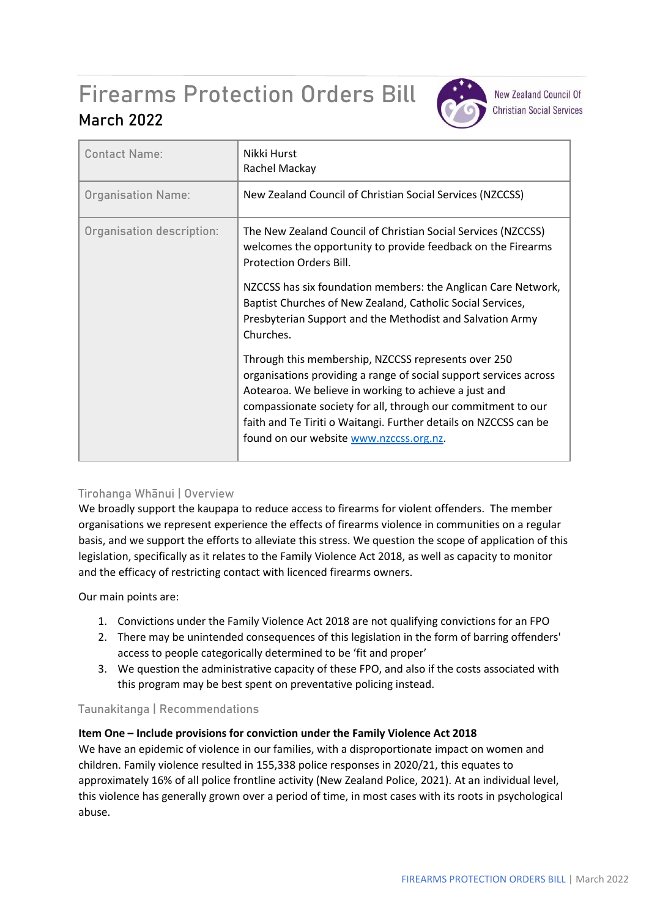# Firearms Protection Orders Bill **March 2022**



**New Zealand Council Of Christian Social Services** 

| <b>Contact Name:</b>      | Nikki Hurst<br>Rachel Mackay                                                                                                                                                                                                                                                                                                                                     |
|---------------------------|------------------------------------------------------------------------------------------------------------------------------------------------------------------------------------------------------------------------------------------------------------------------------------------------------------------------------------------------------------------|
| <b>Organisation Name:</b> | New Zealand Council of Christian Social Services (NZCCSS)                                                                                                                                                                                                                                                                                                        |
| Organisation description: | The New Zealand Council of Christian Social Services (NZCCSS)<br>welcomes the opportunity to provide feedback on the Firearms<br>Protection Orders Bill.                                                                                                                                                                                                         |
|                           | NZCCSS has six foundation members: the Anglican Care Network,<br>Baptist Churches of New Zealand, Catholic Social Services,<br>Presbyterian Support and the Methodist and Salvation Army<br>Churches.                                                                                                                                                            |
|                           | Through this membership, NZCCSS represents over 250<br>organisations providing a range of social support services across<br>Aotearoa. We believe in working to achieve a just and<br>compassionate society for all, through our commitment to our<br>faith and Te Tiriti o Waitangi. Further details on NZCCSS can be<br>found on our website www.nzccss.org.nz. |

## **Tirohanga Whānui | Overview**

We broadly support the kaupapa to reduce access to firearms for violent offenders. The member organisations we represent experience the effects of firearms violence in communities on a regular basis, and we support the efforts to alleviate this stress. We question the scope of application of this legislation, specifically as it relates to the Family Violence Act 2018, as well as capacity to monitor and the efficacy of restricting contact with licenced firearms owners.

Our main points are:

- 1. Convictions under the Family Violence Act 2018 are not qualifying convictions for an FPO
- 2. There may be unintended consequences of this legislation in the form of barring offenders' access to people categorically determined to be 'fit and proper'
- 3. We question the administrative capacity of these FPO, and also if the costs associated with this program may be best spent on preventative policing instead.

## **Taunakitanga | Recommendations**

### **Item One – Include provisions for conviction under the Family Violence Act 2018**

We have an epidemic of violence in our families, with a disproportionate impact on women and children. Family violence resulted in 155,338 police responses in 2020/21, this equates to approximately 16% of all police frontline activity (New Zealand Police, 2021). At an individual level, this violence has generally grown over a period of time, in most cases with its roots in psychological abuse.